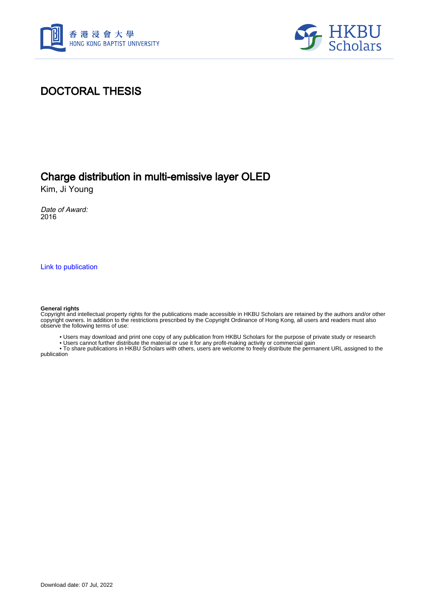



## DOCTORAL THESIS

## Charge distribution in multi-emissive layer OLED

Kim, Ji Young

Date of Award: 2016

[Link to publication](https://scholars.hkbu.edu.hk/en/studentTheses/f1459afd-5407-49d0-85e8-310e019b24eb)

#### **General rights**

Copyright and intellectual property rights for the publications made accessible in HKBU Scholars are retained by the authors and/or other copyright owners. In addition to the restrictions prescribed by the Copyright Ordinance of Hong Kong, all users and readers must also observe the following terms of use:

• Users may download and print one copy of any publication from HKBU Scholars for the purpose of private study or research

• Users cannot further distribute the material or use it for any profit-making activity or commercial gain

 • To share publications in HKBU Scholars with others, users are welcome to freely distribute the permanent URL assigned to the publication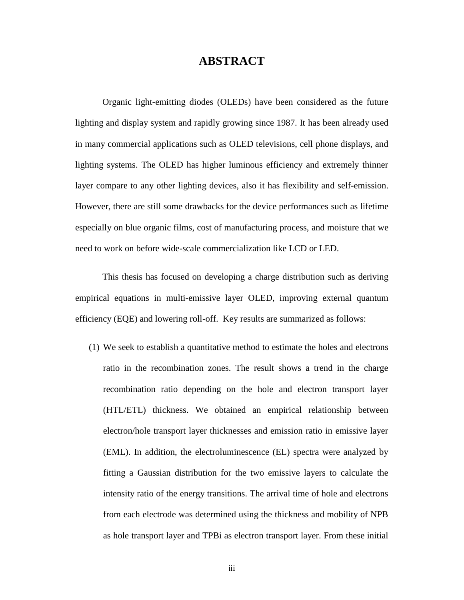### **ABSTRACT**

<span id="page-1-0"></span>Organic light-emitting diodes (OLEDs) have been considered as the future lighting and display system and rapidly growing since 1987. It has been already used in many commercial applications such as OLED televisions, cell phone displays, and lighting systems. The OLED has higher luminous efficiency and extremely thinner layer compare to any other lighting devices, also it has flexibility and self-emission. However, there are still some drawbacks for the device performances such as lifetime especially on blue organic films, cost of manufacturing process, and moisture that we need to work on before wide-scale commercialization like LCD or LED.

This thesis has focused on developing a charge distribution such as deriving empirical equations in multi-emissive layer OLED, improving external quantum efficiency (EQE) and lowering roll-off. Key results are summarized as follows:

(1) We seek to establish a quantitative method to estimate the holes and electrons ratio in the recombination zones. The result shows a trend in the charge recombination ratio depending on the hole and electron transport layer (HTL/ETL) thickness. We obtained an empirical relationship between electron/hole transport layer thicknesses and emission ratio in emissive layer (EML). In addition, the electroluminescence (EL) spectra were analyzed by fitting a Gaussian distribution for the two emissive layers to calculate the intensity ratio of the energy transitions. The arrival time of hole and electrons from each electrode was determined using the thickness and mobility of NPB as hole transport layer and TPBi as electron transport layer. From these initial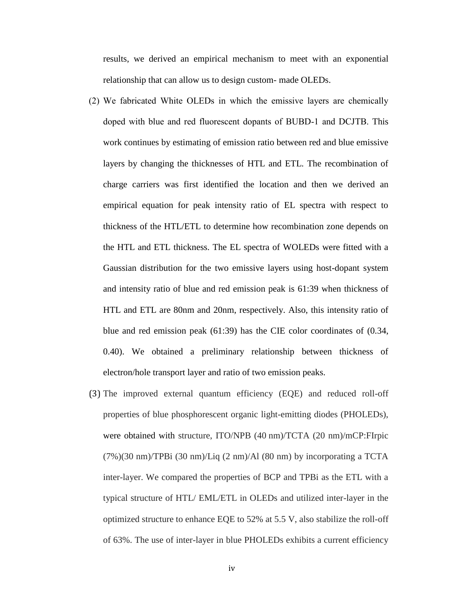results, we derived an empirical mechanism to meet with an exponential relationship that can allow us to design custom- made OLEDs.

- (2) We fabricated White OLEDs in which the emissive layers are chemically doped with blue and red fluorescent dopants of BUBD-1 and DCJTB. This work continues by estimating of emission ratio between red and blue emissive layers by changing the thicknesses of HTL and ETL. The recombination of charge carriers was first identified the location and then we derived an empirical equation for peak intensity ratio of EL spectra with respect to thickness of the HTL/ETL to determine how recombination zone depends on the HTL and ETL thickness. The EL spectra of WOLEDs were fitted with a Gaussian distribution for the two emissive layers using host-dopant system and intensity ratio of blue and red emission peak is 61:39 when thickness of HTL and ETL are 80nm and 20nm, respectively. Also, this intensity ratio of blue and red emission peak (61:39) has the CIE color coordinates of (0.34, 0.40). We obtained a preliminary relationship between thickness of electron/hole transport layer and ratio of two emission peaks.
- (3) The improved external quantum efficiency (EQE) and reduced roll-off properties of blue phosphorescent organic light-emitting diodes (PHOLEDs), were obtained with structure, ITO/NPB (40 nm)/TCTA (20 nm)/mCP:FIrpic (7%)(30 nm)/TPBi (30 nm)/Liq (2 nm)/Al (80 nm) by incorporating a TCTA inter-layer. We compared the properties of BCP and TPBi as the ETL with a typical structure of HTL/ EML/ETL in OLEDs and utilized inter-layer in the optimized structure to enhance EQE to 52% at 5.5 V, also stabilize the roll-off of 63%. The use of inter-layer in blue PHOLEDs exhibits a current efficiency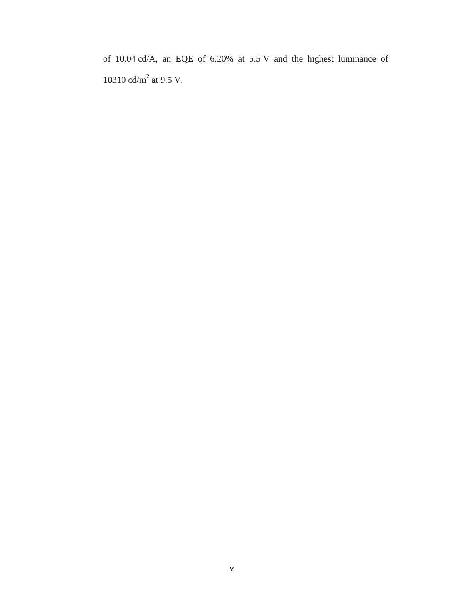of 10.04 cd/A, an EQE of 6.20% at 5.5 V and the highest luminance of 10310 cd/m<sup>2</sup> at 9.5 V.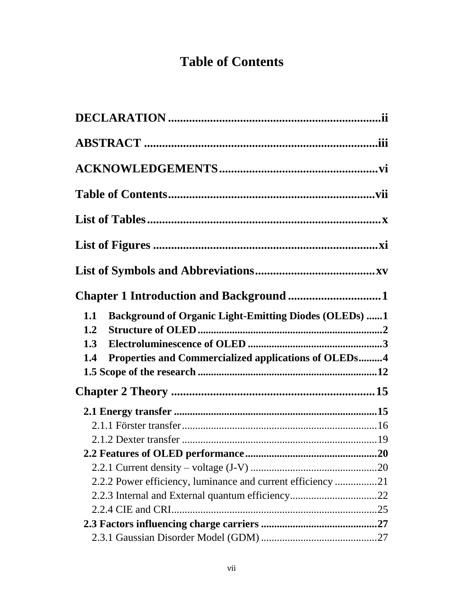# **Table of Contents**

<span id="page-4-0"></span>

| Chapter 1 Introduction and Background 1                             |  |
|---------------------------------------------------------------------|--|
| <b>Background of Organic Light-Emitting Diodes (OLEDs) 1</b><br>1.1 |  |
| 1.2                                                                 |  |
| 1.3                                                                 |  |
| Properties and Commercialized applications of OLEDs4<br>1.4         |  |
|                                                                     |  |
|                                                                     |  |
|                                                                     |  |
|                                                                     |  |
|                                                                     |  |
|                                                                     |  |
|                                                                     |  |
| 2.2.2 Power efficiency, luminance and current efficiency 21         |  |
|                                                                     |  |
|                                                                     |  |
|                                                                     |  |
|                                                                     |  |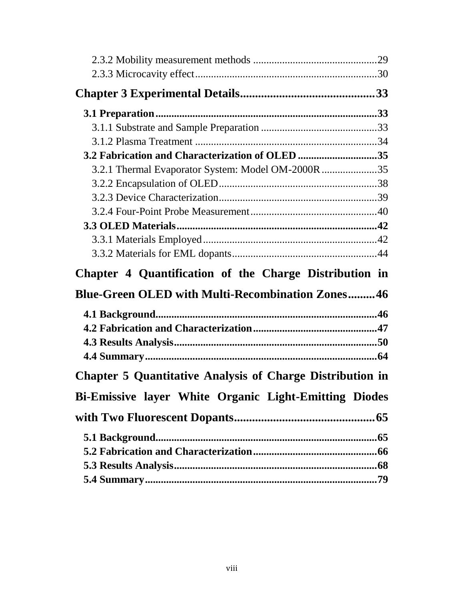| 3.2 Fabrication and Characterization of OLED 35                  |  |
|------------------------------------------------------------------|--|
| 3.2.1 Thermal Evaporator System: Model OM-2000R 35               |  |
|                                                                  |  |
|                                                                  |  |
|                                                                  |  |
|                                                                  |  |
|                                                                  |  |
|                                                                  |  |
|                                                                  |  |
| Chapter 4 Quantification of the Charge Distribution in           |  |
| <b>Blue-Green OLED with Multi-Recombination Zones46</b>          |  |
|                                                                  |  |
|                                                                  |  |
|                                                                  |  |
|                                                                  |  |
| <b>Chapter 5 Quantitative Analysis of Charge Distribution in</b> |  |
| Bi-Emissive layer White Organic Light-Emitting Diodes            |  |
|                                                                  |  |
|                                                                  |  |
|                                                                  |  |
|                                                                  |  |